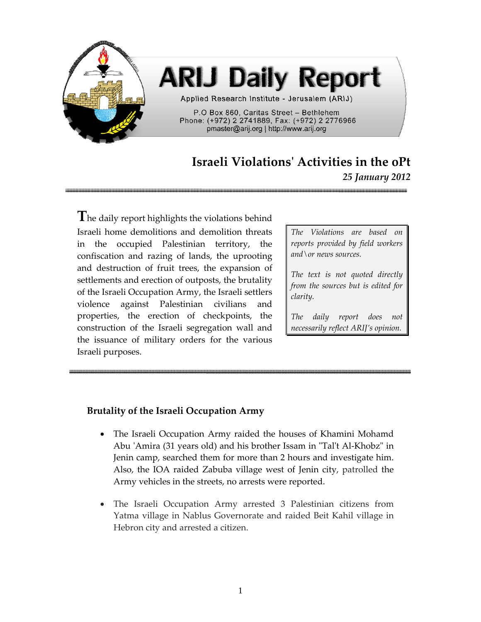

## **ARIJ Daily Report**

Applied Research Institute - Jerusalem (ARIJ)

P.O Box 860, Caritas Street - Bethlehem Phone: (+972) 2 2741889, Fax: (+972) 2 2776966 pmaster@arij.org | http://www.arij.org

## **Israeli Violationsʹ Activities in the oPt**

*25 January 2012*

**T**he daily report highlights the violations behind Israeli home demolitions and demolition threats in the occupied Palestinian territory, the confiscation and razing of lands, the uprooting and destruction of fruit trees, the expansion of settlements and erection of outposts, the brutality of the Israeli Occupation Army, the Israeli settlers violence against Palestinian civilians and properties, the erection of checkpoints, the construction of the Israeli segregation wall and the issuance of military orders for the various Israeli purposes.

*The Violations are based on reports provided by field workers and\or news sources.*

*The text is not quoted directly from the sources but is edited for clarity.*

*The daily report does not necessarily reflect ARIJ's opinion.*

## **Brutality of the Israeli Occupation Army**

- The Israeli Occupation Army raided the houses of Khamini Mohamd Abu 'Amira (31 years old) and his brother Issam in "Tal't Al-Khobz" in Jenin camp, searched them for more than 2 hours and investigate him. Also, the IOA raided Zabuba village west of Jenin city, patrolled the Army vehicles in the streets, no arrests were reported.
- The Israeli Occupation Army arrested 3 Palestinian citizens from Yatma village in Nablus Governorate and raided Beit Kahil village in Hebron city and arrested a citizen.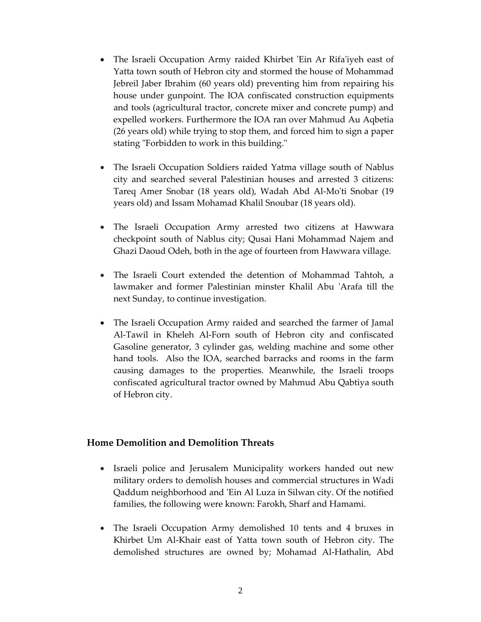- The Israeli Occupation Army raided Khirbet 'Ein Ar Rifa'iyeh east of Yatta town south of Hebron city and stormed the house of Mohammad Jebreil Jaber Ibrahim (60 years old) preventing him from repairing his house under gunpoint. The IOA confiscated construction equipments and tools (agricultural tractor, concrete mixer and concrete pump) and expelled workers. Furthermore the IOA ran over Mahmud Au Aqbetia (26 years old) while trying to stop them, and forced him to sign a paper stating "Forbidden to work in this building."
- The Israeli Occupation Soldiers raided Yatma village south of Nablus city and searched several Palestinian houses and arrested 3 citizens: Tareq Amer Snobar (18 years old), Wadah Abd Al‐Moʹti Snobar (19 years old) and Issam Mohamad Khalil Snoubar (18 years old).
- The Israeli Occupation Army arrested two citizens at Hawwara checkpoint south of Nablus city; Qusai Hani Mohammad Najem and Ghazi Daoud Odeh, both in the age of fourteen from Hawwara village.
- The Israeli Court extended the detention of Mohammad Tahtoh, a lawmaker and former Palestinian minster Khalil Abu ʹArafa till the next Sunday, to continue investigation.
- The Israeli Occupation Army raided and searched the farmer of Jamal Al‐Tawil in Kheleh Al‐Forn south of Hebron city and confiscated Gasoline generator, 3 cylinder gas, welding machine and some other hand tools. Also the IOA, searched barracks and rooms in the farm causing damages to the properties. Meanwhile, the Israeli troops confiscated agricultural tractor owned by Mahmud Abu Qabtiya south of Hebron city.

## **Home Demolition and Demolition Threats**

- Israeli police and Jerusalem Municipality workers handed out new military orders to demolish houses and commercial structures in Wadi Qaddum neighborhood and ʹEin Al Luza in Silwan city. Of the notified families, the following were known: Farokh, Sharf and Hamami.
- The Israeli Occupation Army demolished 10 tents and 4 bruxes in Khirbet Um Al‐Khair east of Yatta town south of Hebron city. The demolished structures are owned by; Mohamad Al‐Hathalin, Abd